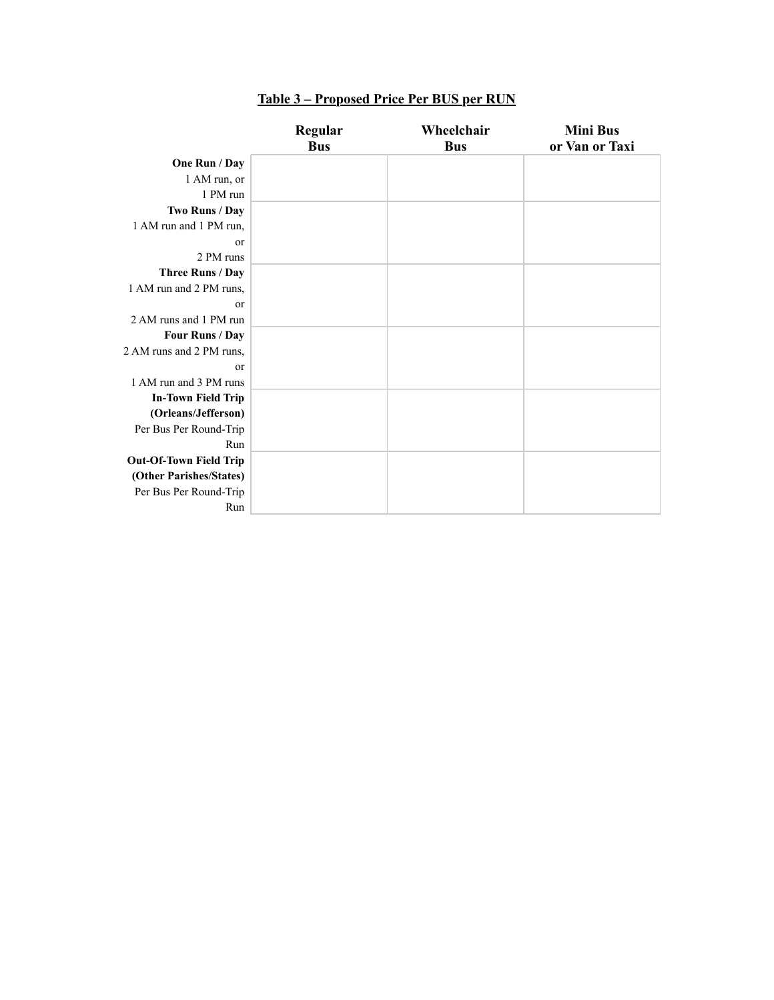|                               | Regular    | Wheelchair | <b>Mini Bus</b> |
|-------------------------------|------------|------------|-----------------|
|                               | <b>Bus</b> | <b>Bus</b> | or Van or Taxi  |
| One Run / Day                 |            |            |                 |
| 1 AM run, or                  |            |            |                 |
| 1 PM run                      |            |            |                 |
| Two Runs / Day                |            |            |                 |
| 1 AM run and 1 PM run,        |            |            |                 |
| or                            |            |            |                 |
| 2 PM runs                     |            |            |                 |
| Three Runs / Day              |            |            |                 |
| 1 AM run and 2 PM runs,       |            |            |                 |
| <sub>or</sub>                 |            |            |                 |
| 2 AM runs and 1 PM run        |            |            |                 |
| Four Runs / Day               |            |            |                 |
| 2 AM runs and 2 PM runs,      |            |            |                 |
| <sub>or</sub>                 |            |            |                 |
| 1 AM run and 3 PM runs        |            |            |                 |
| <b>In-Town Field Trip</b>     |            |            |                 |
| (Orleans/Jefferson)           |            |            |                 |
| Per Bus Per Round-Trip        |            |            |                 |
| Run                           |            |            |                 |
| <b>Out-Of-Town Field Trip</b> |            |            |                 |
| (Other Parishes/States)       |            |            |                 |
| Per Bus Per Round-Trip        |            |            |                 |
| Run                           |            |            |                 |

## **Table 3 – Proposed Price Per BUS per RUN**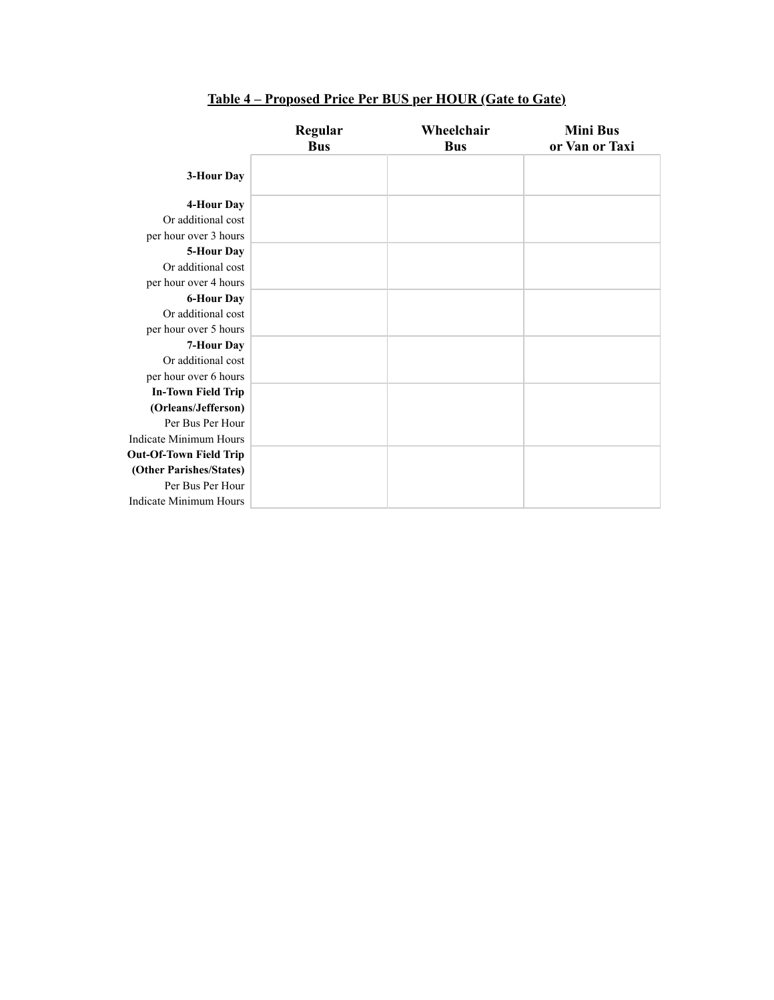|                               | Regular<br><b>Bus</b> | Wheelchair<br><b>Bus</b> | <b>Mini Bus</b><br>or Van or Taxi |
|-------------------------------|-----------------------|--------------------------|-----------------------------------|
| 3-Hour Day                    |                       |                          |                                   |
| 4-Hour Day                    |                       |                          |                                   |
| Or additional cost            |                       |                          |                                   |
| per hour over 3 hours         |                       |                          |                                   |
| 5-Hour Day                    |                       |                          |                                   |
| Or additional cost            |                       |                          |                                   |
| per hour over 4 hours         |                       |                          |                                   |
| <b>6-Hour Day</b>             |                       |                          |                                   |
| Or additional cost            |                       |                          |                                   |
| per hour over 5 hours         |                       |                          |                                   |
| 7-Hour Day                    |                       |                          |                                   |
| Or additional cost            |                       |                          |                                   |
| per hour over 6 hours         |                       |                          |                                   |
| <b>In-Town Field Trip</b>     |                       |                          |                                   |
| (Orleans/Jefferson)           |                       |                          |                                   |
| Per Bus Per Hour              |                       |                          |                                   |
| Indicate Minimum Hours        |                       |                          |                                   |
| <b>Out-Of-Town Field Trip</b> |                       |                          |                                   |
| (Other Parishes/States)       |                       |                          |                                   |
| Per Bus Per Hour              |                       |                          |                                   |
| Indicate Minimum Hours        |                       |                          |                                   |

## **Table 4 – Proposed Price Per BUS per HOUR (Gate to Gate)**